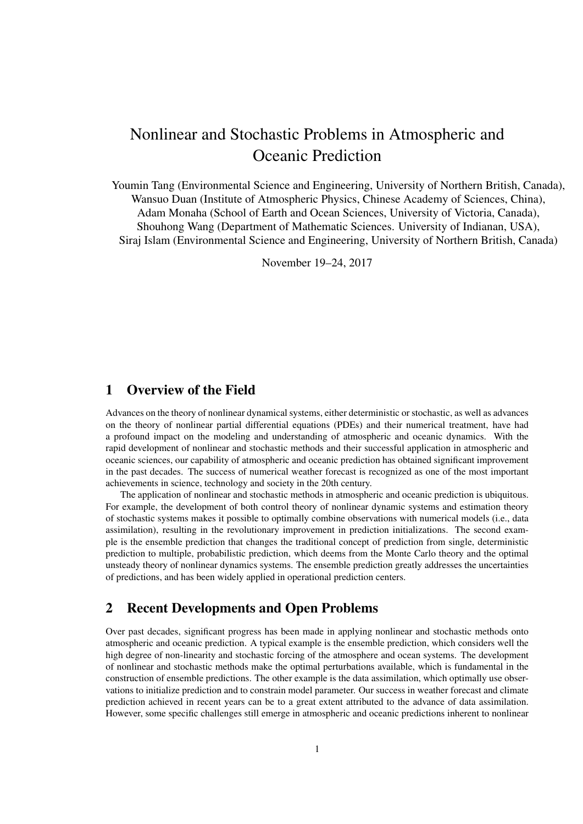# Nonlinear and Stochastic Problems in Atmospheric and Oceanic Prediction

Youmin Tang (Environmental Science and Engineering, University of Northern British, Canada), Wansuo Duan (Institute of Atmospheric Physics, Chinese Academy of Sciences, China), Adam Monaha (School of Earth and Ocean Sciences, University of Victoria, Canada), Shouhong Wang (Department of Mathematic Sciences. University of Indianan, USA), Siraj Islam (Environmental Science and Engineering, University of Northern British, Canada)

November 19–24, 2017

## 1 Overview of the Field

Advances on the theory of nonlinear dynamical systems, either deterministic or stochastic, as well as advances on the theory of nonlinear partial differential equations (PDEs) and their numerical treatment, have had a profound impact on the modeling and understanding of atmospheric and oceanic dynamics. With the rapid development of nonlinear and stochastic methods and their successful application in atmospheric and oceanic sciences, our capability of atmospheric and oceanic prediction has obtained significant improvement in the past decades. The success of numerical weather forecast is recognized as one of the most important achievements in science, technology and society in the 20th century.

The application of nonlinear and stochastic methods in atmospheric and oceanic prediction is ubiquitous. For example, the development of both control theory of nonlinear dynamic systems and estimation theory of stochastic systems makes it possible to optimally combine observations with numerical models (i.e., data assimilation), resulting in the revolutionary improvement in prediction initializations. The second example is the ensemble prediction that changes the traditional concept of prediction from single, deterministic prediction to multiple, probabilistic prediction, which deems from the Monte Carlo theory and the optimal unsteady theory of nonlinear dynamics systems. The ensemble prediction greatly addresses the uncertainties of predictions, and has been widely applied in operational prediction centers.

## 2 Recent Developments and Open Problems

Over past decades, significant progress has been made in applying nonlinear and stochastic methods onto atmospheric and oceanic prediction. A typical example is the ensemble prediction, which considers well the high degree of non-linearity and stochastic forcing of the atmosphere and ocean systems. The development of nonlinear and stochastic methods make the optimal perturbations available, which is fundamental in the construction of ensemble predictions. The other example is the data assimilation, which optimally use observations to initialize prediction and to constrain model parameter. Our success in weather forecast and climate prediction achieved in recent years can be to a great extent attributed to the advance of data assimilation. However, some specific challenges still emerge in atmospheric and oceanic predictions inherent to nonlinear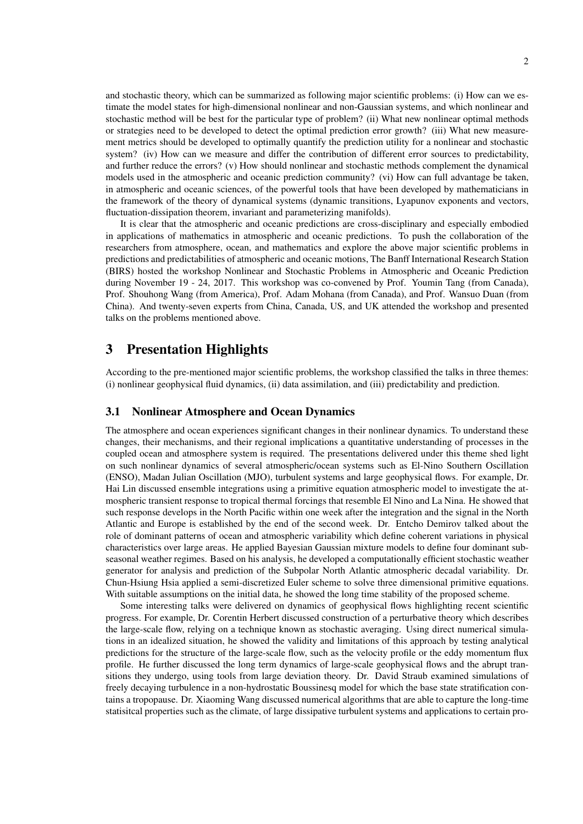and stochastic theory, which can be summarized as following major scientific problems: (i) How can we estimate the model states for high-dimensional nonlinear and non-Gaussian systems, and which nonlinear and stochastic method will be best for the particular type of problem? (ii) What new nonlinear optimal methods or strategies need to be developed to detect the optimal prediction error growth? (iii) What new measurement metrics should be developed to optimally quantify the prediction utility for a nonlinear and stochastic system? (iv) How can we measure and differ the contribution of different error sources to predictability, and further reduce the errors? (v) How should nonlinear and stochastic methods complement the dynamical models used in the atmospheric and oceanic prediction community? (vi) How can full advantage be taken, in atmospheric and oceanic sciences, of the powerful tools that have been developed by mathematicians in the framework of the theory of dynamical systems (dynamic transitions, Lyapunov exponents and vectors, fluctuation-dissipation theorem, invariant and parameterizing manifolds).

It is clear that the atmospheric and oceanic predictions are cross-disciplinary and especially embodied in applications of mathematics in atmospheric and oceanic predictions. To push the collaboration of the researchers from atmosphere, ocean, and mathematics and explore the above major scientific problems in predictions and predictabilities of atmospheric and oceanic motions, The Banff International Research Station (BIRS) hosted the workshop Nonlinear and Stochastic Problems in Atmospheric and Oceanic Prediction during November 19 - 24, 2017. This workshop was co-convened by Prof. Youmin Tang (from Canada), Prof. Shouhong Wang (from America), Prof. Adam Mohana (from Canada), and Prof. Wansuo Duan (from China). And twenty-seven experts from China, Canada, US, and UK attended the workshop and presented talks on the problems mentioned above.

## 3 Presentation Highlights

According to the pre-mentioned major scientific problems, the workshop classified the talks in three themes: (i) nonlinear geophysical fluid dynamics, (ii) data assimilation, and (iii) predictability and prediction.

#### 3.1 Nonlinear Atmosphere and Ocean Dynamics

The atmosphere and ocean experiences significant changes in their nonlinear dynamics. To understand these changes, their mechanisms, and their regional implications a quantitative understanding of processes in the coupled ocean and atmosphere system is required. The presentations delivered under this theme shed light on such nonlinear dynamics of several atmospheric/ocean systems such as El-Nino Southern Oscillation (ENSO), Madan Julian Oscillation (MJO), turbulent systems and large geophysical flows. For example, Dr. Hai Lin discussed ensemble integrations using a primitive equation atmospheric model to investigate the atmospheric transient response to tropical thermal forcings that resemble El Nino and La Nina. He showed that such response develops in the North Pacific within one week after the integration and the signal in the North Atlantic and Europe is established by the end of the second week. Dr. Entcho Demirov talked about the role of dominant patterns of ocean and atmospheric variability which define coherent variations in physical characteristics over large areas. He applied Bayesian Gaussian mixture models to define four dominant subseasonal weather regimes. Based on his analysis, he developed a computationally efficient stochastic weather generator for analysis and prediction of the Subpolar North Atlantic atmospheric decadal variability. Dr. Chun-Hsiung Hsia applied a semi-discretized Euler scheme to solve three dimensional primitive equations. With suitable assumptions on the initial data, he showed the long time stability of the proposed scheme.

Some interesting talks were delivered on dynamics of geophysical flows highlighting recent scientific progress. For example, Dr. Corentin Herbert discussed construction of a perturbative theory which describes the large-scale flow, relying on a technique known as stochastic averaging. Using direct numerical simulations in an idealized situation, he showed the validity and limitations of this approach by testing analytical predictions for the structure of the large-scale flow, such as the velocity profile or the eddy momentum flux profile. He further discussed the long term dynamics of large-scale geophysical flows and the abrupt transitions they undergo, using tools from large deviation theory. Dr. David Straub examined simulations of freely decaying turbulence in a non-hydrostatic Boussinesq model for which the base state stratification contains a tropopause. Dr. Xiaoming Wang discussed numerical algorithms that are able to capture the long-time statisitcal properties such as the climate, of large dissipative turbulent systems and applications to certain pro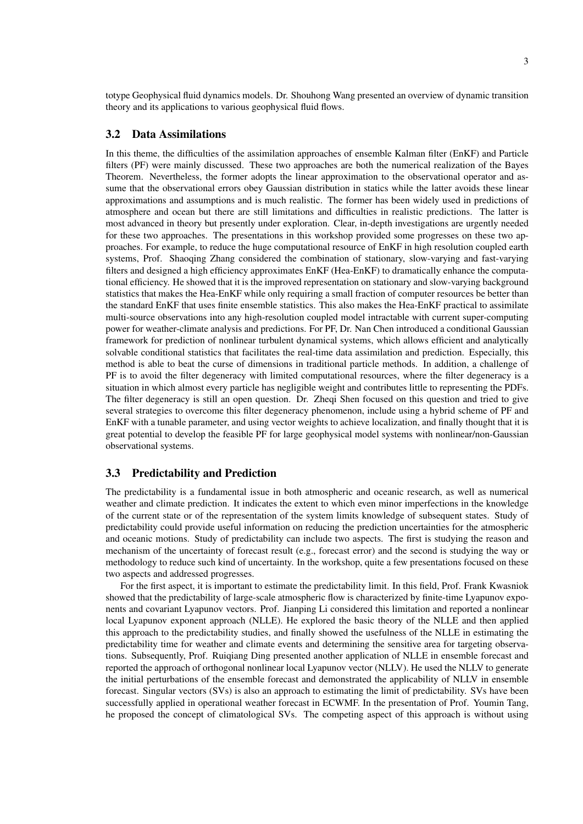totype Geophysical fluid dynamics models. Dr. Shouhong Wang presented an overview of dynamic transition theory and its applications to various geophysical fluid flows.

#### 3.2 Data Assimilations

In this theme, the difficulties of the assimilation approaches of ensemble Kalman filter (EnKF) and Particle filters (PF) were mainly discussed. These two approaches are both the numerical realization of the Bayes Theorem. Nevertheless, the former adopts the linear approximation to the observational operator and assume that the observational errors obey Gaussian distribution in statics while the latter avoids these linear approximations and assumptions and is much realistic. The former has been widely used in predictions of atmosphere and ocean but there are still limitations and difficulties in realistic predictions. The latter is most advanced in theory but presently under exploration. Clear, in-depth investigations are urgently needed for these two approaches. The presentations in this workshop provided some progresses on these two approaches. For example, to reduce the huge computational resource of EnKF in high resolution coupled earth systems, Prof. Shaoqing Zhang considered the combination of stationary, slow-varying and fast-varying filters and designed a high efficiency approximates EnKF (Hea-EnKF) to dramatically enhance the computational efficiency. He showed that it is the improved representation on stationary and slow-varying background statistics that makes the Hea-EnKF while only requiring a small fraction of computer resources be better than the standard EnKF that uses finite ensemble statistics. This also makes the Hea-EnKF practical to assimilate multi-source observations into any high-resolution coupled model intractable with current super-computing power for weather-climate analysis and predictions. For PF, Dr. Nan Chen introduced a conditional Gaussian framework for prediction of nonlinear turbulent dynamical systems, which allows efficient and analytically solvable conditional statistics that facilitates the real-time data assimilation and prediction. Especially, this method is able to beat the curse of dimensions in traditional particle methods. In addition, a challenge of PF is to avoid the filter degeneracy with limited computational resources, where the filter degeneracy is a situation in which almost every particle has negligible weight and contributes little to representing the PDFs. The filter degeneracy is still an open question. Dr. Zheqi Shen focused on this question and tried to give several strategies to overcome this filter degeneracy phenomenon, include using a hybrid scheme of PF and EnKF with a tunable parameter, and using vector weights to achieve localization, and finally thought that it is great potential to develop the feasible PF for large geophysical model systems with nonlinear/non-Gaussian observational systems.

#### 3.3 Predictability and Prediction

The predictability is a fundamental issue in both atmospheric and oceanic research, as well as numerical weather and climate prediction. It indicates the extent to which even minor imperfections in the knowledge of the current state or of the representation of the system limits knowledge of subsequent states. Study of predictability could provide useful information on reducing the prediction uncertainties for the atmospheric and oceanic motions. Study of predictability can include two aspects. The first is studying the reason and mechanism of the uncertainty of forecast result (e.g., forecast error) and the second is studying the way or methodology to reduce such kind of uncertainty. In the workshop, quite a few presentations focused on these two aspects and addressed progresses.

For the first aspect, it is important to estimate the predictability limit. In this field, Prof. Frank Kwasniok showed that the predictability of large-scale atmospheric flow is characterized by finite-time Lyapunov exponents and covariant Lyapunov vectors. Prof. Jianping Li considered this limitation and reported a nonlinear local Lyapunov exponent approach (NLLE). He explored the basic theory of the NLLE and then applied this approach to the predictability studies, and finally showed the usefulness of the NLLE in estimating the predictability time for weather and climate events and determining the sensitive area for targeting observations. Subsequently, Prof. Ruiqiang Ding presented another application of NLLE in ensemble forecast and reported the approach of orthogonal nonlinear local Lyapunov vector (NLLV). He used the NLLV to generate the initial perturbations of the ensemble forecast and demonstrated the applicability of NLLV in ensemble forecast. Singular vectors (SVs) is also an approach to estimating the limit of predictability. SVs have been successfully applied in operational weather forecast in ECWMF. In the presentation of Prof. Youmin Tang, he proposed the concept of climatological SVs. The competing aspect of this approach is without using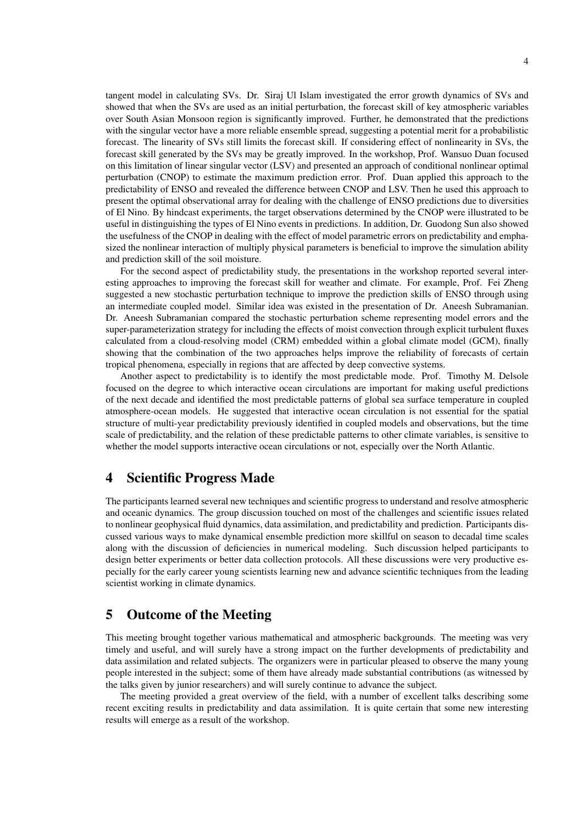tangent model in calculating SVs. Dr. Siraj Ul Islam investigated the error growth dynamics of SVs and showed that when the SVs are used as an initial perturbation, the forecast skill of key atmospheric variables over South Asian Monsoon region is significantly improved. Further, he demonstrated that the predictions with the singular vector have a more reliable ensemble spread, suggesting a potential merit for a probabilistic forecast. The linearity of SVs still limits the forecast skill. If considering effect of nonlinearity in SVs, the forecast skill generated by the SVs may be greatly improved. In the workshop, Prof. Wansuo Duan focused on this limitation of linear singular vector (LSV) and presented an approach of conditional nonlinear optimal perturbation (CNOP) to estimate the maximum prediction error. Prof. Duan applied this approach to the predictability of ENSO and revealed the difference between CNOP and LSV. Then he used this approach to present the optimal observational array for dealing with the challenge of ENSO predictions due to diversities of El Nino. By hindcast experiments, the target observations determined by the CNOP were illustrated to be useful in distinguishing the types of El Nino events in predictions. In addition, Dr. Guodong Sun also showed the usefulness of the CNOP in dealing with the effect of model parametric errors on predictability and emphasized the nonlinear interaction of multiply physical parameters is beneficial to improve the simulation ability and prediction skill of the soil moisture.

For the second aspect of predictability study, the presentations in the workshop reported several interesting approaches to improving the forecast skill for weather and climate. For example, Prof. Fei Zheng suggested a new stochastic perturbation technique to improve the prediction skills of ENSO through using an intermediate coupled model. Similar idea was existed in the presentation of Dr. Aneesh Subramanian. Dr. Aneesh Subramanian compared the stochastic perturbation scheme representing model errors and the super-parameterization strategy for including the effects of moist convection through explicit turbulent fluxes calculated from a cloud-resolving model (CRM) embedded within a global climate model (GCM), finally showing that the combination of the two approaches helps improve the reliability of forecasts of certain tropical phenomena, especially in regions that are affected by deep convective systems.

Another aspect to predictability is to identify the most predictable mode. Prof. Timothy M. Delsole focused on the degree to which interactive ocean circulations are important for making useful predictions of the next decade and identified the most predictable patterns of global sea surface temperature in coupled atmosphere-ocean models. He suggested that interactive ocean circulation is not essential for the spatial structure of multi-year predictability previously identified in coupled models and observations, but the time scale of predictability, and the relation of these predictable patterns to other climate variables, is sensitive to whether the model supports interactive ocean circulations or not, especially over the North Atlantic.

## 4 Scientific Progress Made

The participants learned several new techniques and scientific progress to understand and resolve atmospheric and oceanic dynamics. The group discussion touched on most of the challenges and scientific issues related to nonlinear geophysical fluid dynamics, data assimilation, and predictability and prediction. Participants discussed various ways to make dynamical ensemble prediction more skillful on season to decadal time scales along with the discussion of deficiencies in numerical modeling. Such discussion helped participants to design better experiments or better data collection protocols. All these discussions were very productive especially for the early career young scientists learning new and advance scientific techniques from the leading scientist working in climate dynamics.

### 5 Outcome of the Meeting

This meeting brought together various mathematical and atmospheric backgrounds. The meeting was very timely and useful, and will surely have a strong impact on the further developments of predictability and data assimilation and related subjects. The organizers were in particular pleased to observe the many young people interested in the subject; some of them have already made substantial contributions (as witnessed by the talks given by junior researchers) and will surely continue to advance the subject.

The meeting provided a great overview of the field, with a number of excellent talks describing some recent exciting results in predictability and data assimilation. It is quite certain that some new interesting results will emerge as a result of the workshop.